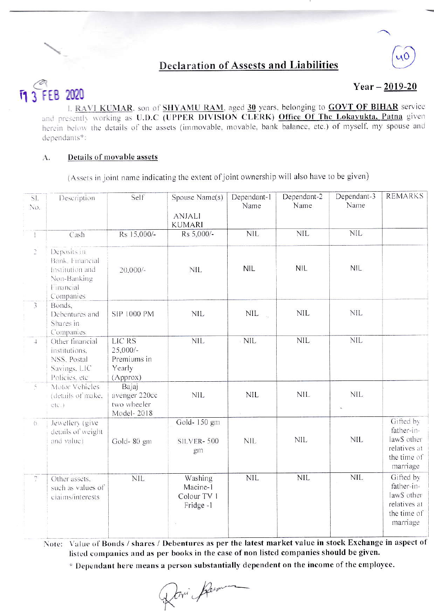# **Declaration of Assests and Liabilities**

### $\overline{11}3$ 2020 FEB

## $Year - 2019 - 20$

I. RAVI KUMAR, son of SHYAMU RAM, aged 30 years, belonging to GOVT OF BIHAR service and presently working as U.D.C (UPPER DIVISION CLERK) Office Of The Lokayukta, Patna given herein below the details of the assets (immovable, movable, bank balance, etc.) of myself, my spouse and dependants\*:

#### Details of movable assets A.

(Assets in joint name indicating the extent of joint ownership will also have to be given)

| SI.<br>No.               | Description                                                                                | Self                                                             | Spouse Name(s)<br><b>ANJALI</b><br><b>KUMARI</b> | Dependant-1<br>Name                  | Dependant-2<br>Name | Dependant-3<br>Name | <b>REMARKS</b>                                                                    |
|--------------------------|--------------------------------------------------------------------------------------------|------------------------------------------------------------------|--------------------------------------------------|--------------------------------------|---------------------|---------------------|-----------------------------------------------------------------------------------|
| $\mathbf{I}$             | Cash                                                                                       | Rs 15,000/-                                                      | Rs 5,000/-                                       | <b>NIL</b>                           | <b>NIL</b>          | <b>NIL</b>          |                                                                                   |
| $\overline{\mathcal{Q}}$ | Deposits in<br>Bank, Financial<br>Institution and<br>Non-Banking<br>Financial<br>Companies | $20,000/-$                                                       | <b>NIL</b>                                       | <b>NIL</b>                           | <b>NIL</b>          | <b>NIL</b>          |                                                                                   |
| $\overline{3}$           | Bonds,<br>Debentures and<br>Shares in<br>Companies.                                        | SIP 1000 PM                                                      | NIL                                              | <b>NIL</b><br>$\bar{\nu}_\mathrm{e}$ | <b>NIL</b>          | <b>NIL</b>          |                                                                                   |
| $\overline{4}$           | Other financial<br>institutions.<br>NSS, Postal<br>Savings, LIC<br>Policies, etc.          | <b>LIC RS</b><br>$25,000/-$<br>Premiums in<br>Yearly<br>(Approx) | <b>NIL</b>                                       | <b>NIL</b>                           | <b>NIL</b>          | <b>NIL</b>          |                                                                                   |
| $\delta$                 | Motor Vehicles<br>(details of make,<br>etc.)                                               | Bajaj<br>avenger 220cc<br>two wheeler<br>Model-2018              | NIL                                              | <b>NIL</b>                           | <b>NIL</b>          | <b>NIL</b>          |                                                                                   |
| $\circ$                  | Jewellery (give<br>details of weight<br>and value)                                         | Gold-80 gm                                                       | Gold-150 gm<br>SILVER-500<br>gm                  | <b>NIL</b>                           | NIL                 | <b>NIL</b>          | Gifted by<br>father-in-<br>law\$ other<br>relatives at<br>the time of<br>marriage |
| $\gamma$                 | Other assets,<br>such as values of<br>ciaims/interests                                     | <b>NIL</b>                                                       | Washing<br>Macine-1<br>Colour TV 1<br>Fridge-1   | <b>NIL</b>                           | <b>NIL</b>          | <b>NIL</b>          | Gifted by<br>father-in-<br>law\$ other<br>relatives at<br>the time of<br>marriage |

Note: Value of Bonds / shares / Debentures as per the latest market value in stock Exchange in aspect of listed companies and as per books in the case of non listed companies should be given.

\* Dependant here means a person substantially dependent on the income of the employee.

Jovi Jam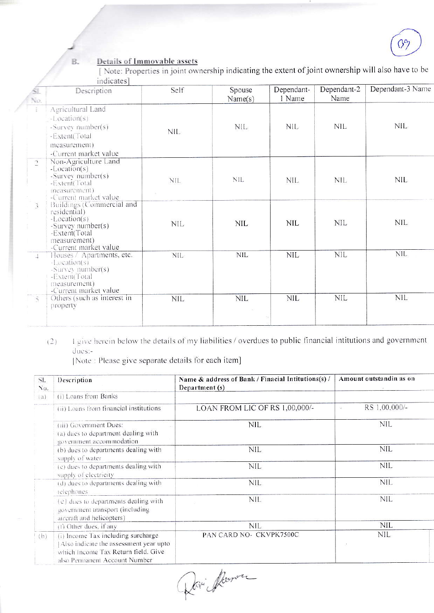$\beta$ 

### Details of Immovable assets B.

[Note: Properties in joint ownership indicating the extent of joint ownership will also have to be indicates]

| Ňo.                      | Description                                                                                                                                | Self       | Spouse<br>Name(s) | Dependant-<br>1 Name | Dependant-2<br>Name | Dependant-3 Name |
|--------------------------|--------------------------------------------------------------------------------------------------------------------------------------------|------------|-------------------|----------------------|---------------------|------------------|
|                          | Agricultural Land<br>-Location(s)<br>-Survey number(s)<br>-Extent(Total<br>measurement)<br>-Current market value                           | NIL        | <b>NIL</b>        | NIL                  | NIL                 | <b>NIL</b>       |
| $\overline{\mathcal{L}}$ | Non-Agriculture Land<br>$-Location(s)$<br>-Survey number(s)<br>-Extent(Total<br>measurement)<br>-Current market value                      | NIL.       | NIL.              | NIL.                 | <b>NIL</b>          | NIL              |
| $\overline{\mathcal{L}}$ | Buildings (Commercial and<br>residential)<br>$-Location(s)$<br>-Survey number(s)<br>-Extent(Total<br>measurement)<br>-Current market value | NIL        | <b>NIL</b>        | NIL                  | <b>NIL</b>          | <b>NIL</b>       |
| $\rightarrow$            | Houses / Apartments, etc.<br>$-Location(s)$<br>-Survey number(s)<br>-Extent(Total<br>measurement)<br>-Current market value                 | <b>NIL</b> | <b>NIL</b>        | NIL                  | <b>NIL</b>          | <b>NIL</b>       |
| $\tilde{\mathcal{L}}$    | Others (such as interest in<br>property                                                                                                    | <b>NIL</b> | <b>NIL</b>        | <b>NIL</b>           | <b>NIL</b>          | <b>NIL</b>       |

I give herein below the details of my liabilities / overdues to public financial intitutions and government  $(2)$ dues:-

[Note : Please give separate details for each item]

| SI.<br>No. | Description                                                                                                                                          | Name & address of Bank / Finacial Intitutions(s) /<br>Department (s) | Amount outstandin as on |
|------------|------------------------------------------------------------------------------------------------------------------------------------------------------|----------------------------------------------------------------------|-------------------------|
| (a)        | (i) Loans from Banks                                                                                                                                 |                                                                      |                         |
|            | (ii) Loans from financial institutions                                                                                                               | LOAN FROM LIC OF RS 1,00,000/-                                       | RS 1,00,000/-<br>S.     |
|            | (iii) Government Dues:<br>(a) dues to department dealing with<br>government accommodation                                                            | nil                                                                  | NIL                     |
|            | (b) dues to departments dealing with<br>supply of water                                                                                              | NIL                                                                  | NIL                     |
|            | (c) dues to departments dealing with<br>supply of electricity.                                                                                       | NIL                                                                  | <b>NIL</b>              |
|            | (d) dues to departments dealing with<br>telephones                                                                                                   | <b>NIL</b>                                                           | NIL                     |
|            | (e) dues to departments dealing with<br>government transport (including<br>aircraft and helicopters)                                                 | <b>NIL</b>                                                           | <b>NIL</b>              |
|            | $(1)$ Other dues, if any                                                                                                                             | nil                                                                  | NIL                     |
| (b)        | (i) Income Tax including surcharge<br>Also indicate the assessment year upto<br>which Income Tax Return field. Give<br>also Permanent Account Number | PAN CARD NO- CKVPK7500C                                              | nil                     |

Dari flernen